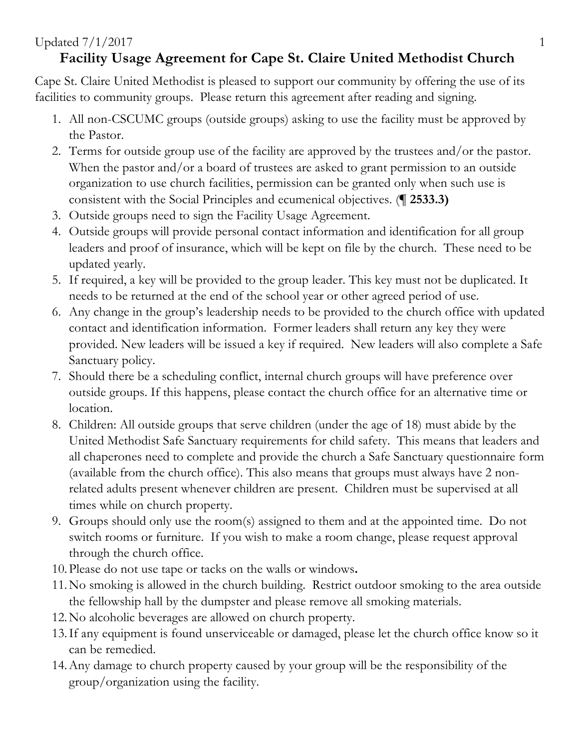## Updated  $7/1/2017$  1

## **Facility Usage Agreement for Cape St. Claire United Methodist Church**

Cape St. Claire United Methodist is pleased to support our community by offering the use of its facilities to community groups. Please return this agreement after reading and signing.

- 1. All non-CSCUMC groups (outside groups) asking to use the facility must be approved by the Pastor.
- 2. Terms for outside group use of the facility are approved by the trustees and/or the pastor. When the pastor and/or a board of trustees are asked to grant permission to an outside organization to use church facilities, permission can be granted only when such use is consistent with the Social Principles and ecumenical objectives. (**¶ 2533.3)**
- 3. Outside groups need to sign the Facility Usage Agreement.
- 4. Outside groups will provide personal contact information and identification for all group leaders and proof of insurance, which will be kept on file by the church. These need to be updated yearly.
- 5. If required, a key will be provided to the group leader. This key must not be duplicated. It needs to be returned at the end of the school year or other agreed period of use.
- 6. Any change in the group's leadership needs to be provided to the church office with updated contact and identification information. Former leaders shall return any key they were provided. New leaders will be issued a key if required. New leaders will also complete a Safe Sanctuary policy.
- 7. Should there be a scheduling conflict, internal church groups will have preference over outside groups. If this happens, please contact the church office for an alternative time or location.
- 8. Children: All outside groups that serve children (under the age of 18) must abide by the United Methodist Safe Sanctuary requirements for child safety. This means that leaders and all chaperones need to complete and provide the church a Safe Sanctuary questionnaire form (available from the church office). This also means that groups must always have 2 nonrelated adults present whenever children are present. Children must be supervised at all times while on church property.
- 9. Groups should only use the room(s) assigned to them and at the appointed time. Do not switch rooms or furniture. If you wish to make a room change, please request approval through the church office.
- 10.Please do not use tape or tacks on the walls or windows**.**
- 11.No smoking is allowed in the church building. Restrict outdoor smoking to the area outside the fellowship hall by the dumpster and please remove all smoking materials.
- 12.No alcoholic beverages are allowed on church property.
- 13.If any equipment is found unserviceable or damaged, please let the church office know so it can be remedied.
- 14.Any damage to church property caused by your group will be the responsibility of the group/organization using the facility.